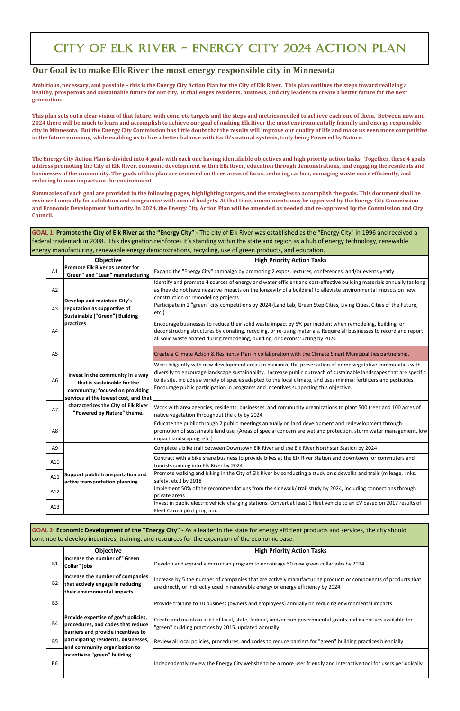|                | Objective                                                                                                                                                                                                        | <b>High Priority Action Tasks</b>                                                                                                                                                                                                                                                                                                                                                                                                                      |
|----------------|------------------------------------------------------------------------------------------------------------------------------------------------------------------------------------------------------------------|--------------------------------------------------------------------------------------------------------------------------------------------------------------------------------------------------------------------------------------------------------------------------------------------------------------------------------------------------------------------------------------------------------------------------------------------------------|
| A1             | Promote Elk River as center for<br>"Green" and "Lean" manufacturing                                                                                                                                              | Expand the "Energy City" campaign by promoting 2 expos, lectures, conferences, and/or events yearly                                                                                                                                                                                                                                                                                                                                                    |
| A2             | Develop and maintain City's<br>reputation as supportive of<br><b>Sustainable ("Green") Building</b><br>practices                                                                                                 | Identify and promote 4 sources of energy and water efficient and cost-effective building materials annually (as long<br>as they do not have negative impacts on the longevity of a building) to alleviate environmental impacts on new<br>construction or remodeling projects                                                                                                                                                                          |
| A <sub>3</sub> |                                                                                                                                                                                                                  | Participate in 2 "green" city competitions by 2024 (Land Lab, Green Step Cities, Living Cities, Cities of the Future,<br>etc.)                                                                                                                                                                                                                                                                                                                         |
| A4             |                                                                                                                                                                                                                  | Encourage businesses to reduce their solid waste impact by 5% per incident when remodeling, building, or<br>deconstructing structures by donating, recycling, or re-using materials. Require all businesses to record and report<br>all solid waste abated during remodeling, building, or deconstructing by 2024                                                                                                                                      |
| A <sub>5</sub> | Invest in the community in a way<br>that is sustainable for the<br>community; focused on providing<br>services at the lowest cost, and that<br>characterizes the City of Elk River<br>"Powered by Nature" theme. | Create a Climate Action & Resiliency Plan in collaboration with the Climate Smart Municipalities partnership.                                                                                                                                                                                                                                                                                                                                          |
| A <sub>6</sub> |                                                                                                                                                                                                                  | Work diligently with new development areas to maximize the preservation of prime vegetative communities with<br>diversify to encourage landscape sustainability. Increase public outreach of sustainable landscapes that are specific<br>to its site, includes a variety of species adapted to the local climate, and uses minimal fertilizers and pesticides.<br>Encourage public participation in programs and incentives supporting this objective. |
| A7             |                                                                                                                                                                                                                  | Work with area agencies, residents, businesses, and community organizations to plant 500 trees and 100 acres of<br>native vegetation throughout the city by 2024                                                                                                                                                                                                                                                                                       |
| A8             |                                                                                                                                                                                                                  | Educate the public through 2 public meetings annually on land development and redevelopment through<br>promotion of sustainable land use. (Areas of special concern are wetland protection, storm water management, low<br>impact landscaping, etc.)                                                                                                                                                                                                   |
| A9             | Support public transportation and<br>active transportation planning                                                                                                                                              | Complete a bike trail between Downtown Elk River and the Elk River Northstar Station by 2024                                                                                                                                                                                                                                                                                                                                                           |
| A10            |                                                                                                                                                                                                                  | Contract with a bike share business to provide bikes at the Elk River Station and downtown for commuters and<br>tourists coming into Elk River by 2024                                                                                                                                                                                                                                                                                                 |
| A11            |                                                                                                                                                                                                                  | Promote walking and biking in the City of Elk River by conducting a study on sidewalks and trails (mileage, links,<br>safety, etc.) by 2018                                                                                                                                                                                                                                                                                                            |
| A12            |                                                                                                                                                                                                                  | Implement 50% of the recommendations from the sidewalk/ trail study by 2024, including connections through<br>private areas                                                                                                                                                                                                                                                                                                                            |
| A13            |                                                                                                                                                                                                                  | Invest in public electric vehicle charging stations. Convert at least 1 fleet vehicle to an EV based on 2017 results of<br>Fleet Carma pilot program.                                                                                                                                                                                                                                                                                                  |

|                | <b>Objective</b>                                                                                                                                                                                                         | <b>High Priority Action Tasks</b>                                                                                                                                                                 |
|----------------|--------------------------------------------------------------------------------------------------------------------------------------------------------------------------------------------------------------------------|---------------------------------------------------------------------------------------------------------------------------------------------------------------------------------------------------|
| <b>B1</b>      | Increase the number of "Green<br>Collar" jobs                                                                                                                                                                            | Develop and expand a microloan program to encourage 50 new green collar jobs by 2024                                                                                                              |
| <b>B2</b>      | Increase the number of companies<br>that actively engage in reducing<br>their environmental impacts                                                                                                                      | Increase by 5 the number of companies that are actively manufacturing products or components of products that<br>are directly or indirectly used in renewable energy or energy efficiency by 2024 |
| B <sub>3</sub> |                                                                                                                                                                                                                          | Provide training to 10 business (owners and employees) annually on reducing environmental impacts                                                                                                 |
| <b>B4</b>      | Provide expertise of gov't policies,<br>procedures, and codes that reduce<br>barriers and provide incentives to<br>participating residents, businesses,<br>and community organization to<br>incentivize "green" building | Create and maintain a list of local, state, federal, and/or non-governmental grants and incentives available for<br>'green" building practices by 2015, updated annually                          |
| <b>B5</b>      |                                                                                                                                                                                                                          | Review all local policies, procedures, and codes to reduce barriers for "green" building practices biennially                                                                                     |
| <b>B6</b>      |                                                                                                                                                                                                                          | Independently review the Energy City website to be a more user friendly and interactive tool for users periodically                                                                               |

**GOAL 2: Economic Development of the "Energy City" -** As a leader in the state for energy efficient products and services, the city should continue to develop incentives, training, and resources for the expansion of the economic base.

## City of Elk River - Energy City 2024 Action Plan

**Summaries of each goal are provided in the following pages, highlighting targets, and the strategies to accomplish the goals. This document shall be reviewed annually for validation and congruence with annual budgets. At that time, amendments may be approved by the Energy City Commission and Economic Development Authority. In 2024, the Energy City Action Plan will be amended as needed and re-approved by the Commission and City Council.**

**The Energy City Action Plan is divided into 4 goals with each one having identifiable objectives and high priority action tasks. Together, these 4 goals address promoting the City of Elk River, economic development within Elk River, education through demonstrations, and engaging the residents and businesses of the community. The goals of this plan are centered on three areas of focus: reducing carbon, managing waste more efficiently, and reducing human impacts on the environment.**

**This plan sets out a clear vision of that future, with concrete targets and the steps and metrics needed to achieve each one of them. Between now and 2024 there will be much to learn and accomplish to achieve our goal of making Elk River the most environmentally friendly and energy responsible city in Minnesota. But the Energy City Commission has little doubt that the results will improve our quality of life and make us even more competitive in the future economy, while enabling us to live a better balance with Earth's natural systems, truly being Powered by Nature.**

## **Our Goal is to make Elk River the most energy responsible city in Minnesota**

**Ambitious, necessary, and possible – this is the Energy City Action Plan for the City of Elk River. This plan outlines the steps toward realizing a healthy, prosperous and sustainable future for our city. It challenges residents, business, and city leaders to create a better future for the next generation.**

**GOAL 1: Promote the City of Elk River as the "Energy City" -** The city of Elk River was established as the "Energy City" in 1996 and received a federal trademark in 2008. This designation reinforces it's standing within the state and region as a hub of energy technology, renewable energy manufacturing, renewable energy demonstrations, recycling, use of green products, and education.